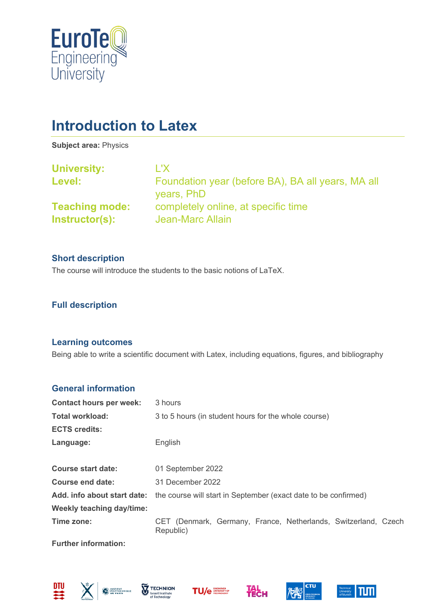

# **Introduction to Latex**

**Subject area:** Physics

| <b>University:</b>                      | L'X.                                                            |
|-----------------------------------------|-----------------------------------------------------------------|
| Level:                                  | Foundation year (before BA), BA all years, MA all<br>years, PhD |
| <b>Teaching mode:</b><br>Instructor(s): | completely online, at specific time<br>Jean-Marc Allain         |
|                                         |                                                                 |

#### **Short description**

The course will introduce the students to the basic notions of LaTeX.

## **Full description**

#### **Learning outcomes**

Being able to write a scientific document with Latex, including equations, figures, and bibliography

## **General information**

| <b>Contact hours per week:</b> | 3 hours                                                                     |
|--------------------------------|-----------------------------------------------------------------------------|
| <b>Total workload:</b>         | 3 to 5 hours (in student hours for the whole course)                        |
| <b>ECTS credits:</b>           |                                                                             |
| Language:                      | English                                                                     |
|                                |                                                                             |
| <b>Course start date:</b>      | 01 September 2022                                                           |
| Course end date:               | 31 December 2022                                                            |
| Add. info about start date:    | the course will start in September (exact date to be confirmed)             |
| Weekly teaching day/time:      |                                                                             |
| Time zone:                     | CET (Denmark, Germany, France, Netherlands, Switzerland, Czech<br>Republic) |

**Further information:**